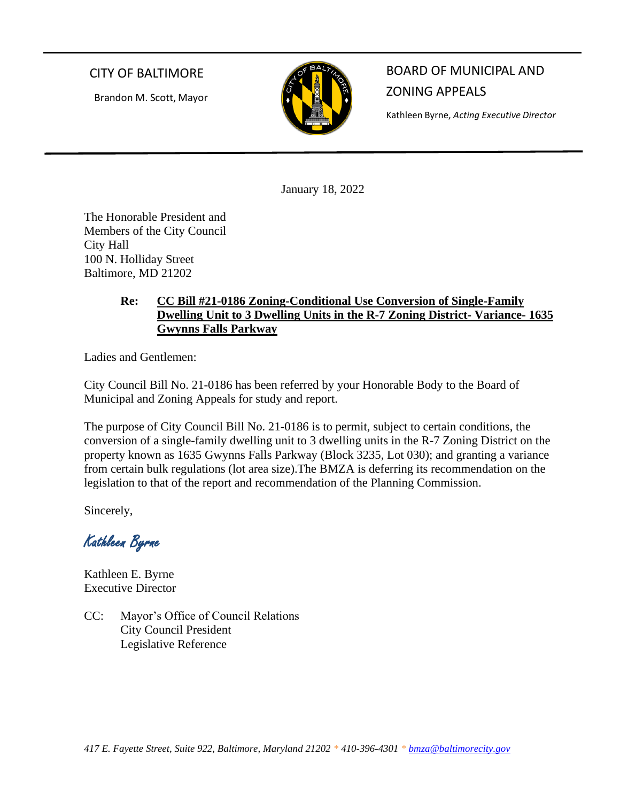## CITY OF BALTIMORE

Brandon M. Scott, Mayor



BOARD OF MUNICIPAL AND ZONING APPEALS

Kathleen Byrne, *Acting Executive Director*

January 18, 2022

The Honorable President and Members of the City Council City Hall 100 N. Holliday Street Baltimore, MD 21202

## **Re: CC Bill #21-0186 Zoning-Conditional Use Conversion of Single-Family Dwelling Unit to 3 Dwelling Units in the R-7 Zoning District- Variance- 1635 Gwynns Falls Parkway**

Ladies and Gentlemen:

City Council Bill No. 21-0186 has been referred by your Honorable Body to the Board of Municipal and Zoning Appeals for study and report.

The purpose of City Council Bill No. 21-0186 is to permit, subject to certain conditions, the conversion of a single-family dwelling unit to 3 dwelling units in the R-7 Zoning District on the property known as 1635 Gwynns Falls Parkway (Block 3235, Lot 030); and granting a variance from certain bulk regulations (lot area size).The BMZA is deferring its recommendation on the legislation to that of the report and recommendation of the Planning Commission.

Sincerely,

Kathleen Byrne

Kathleen E. Byrne Executive Director

CC: Mayor's Office of Council Relations City Council President Legislative Reference